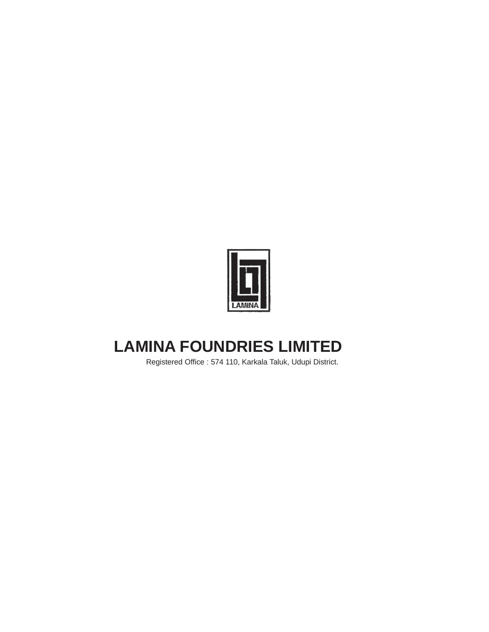

# **LAMINA FOUNDRIES LIMITED**

Registered Office : 574 110, Karkala Taluk, Udupi District.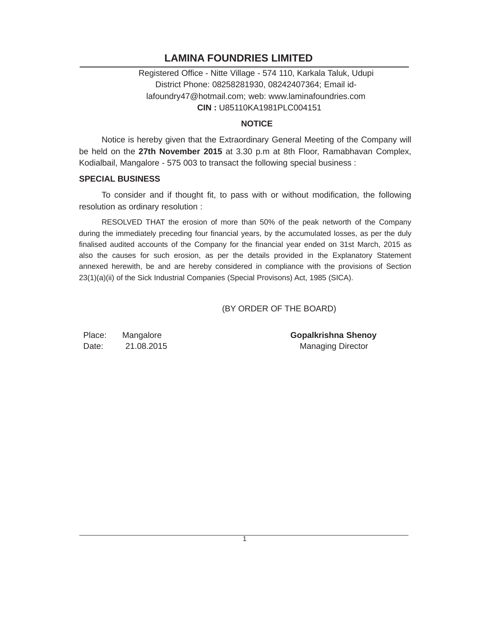# **LAMINA FOUNDRIES LIMITED**

Registered Office - Nitte Village - 574 110, Karkala Taluk, Udupi District Phone: 08258281930, 08242407364; Email idlafoundry47@hotmail.com; web: www.laminafoundries.com **CIN :** U85110KA1981PLC004151

### **NOTICE**

Notice is hereby given that the Extraordinary General Meeting of the Company will be held on the **27th November 2015** at 3.30 p.m at 8th Floor, Ramabhavan Complex, Kodialbail, Mangalore - 575 003 to transact the following special business :

#### **SPECIAL BUSINESS**

To consider and if thought fit, to pass with or without modification, the following resolution as ordinary resolution :

RESOLVED THAT the erosion of more than 50% of the peak networth of the Company during the immediately preceding four financial years, by the accumulated losses, as per the duly finalised audited accounts of the Company for the financial year ended on 31st March, 2015 as also the causes for such erosion, as per the details provided in the Explanatory Statement annexed herewith, be and are hereby considered in compliance with the provisions of Section 23(1)(a)(ii) of the Sick Industrial Companies (Special Provisons) Act, 1985 (SICA).

## (BY ORDER OF THE BOARD)

Place: Mangalore **Gopalkrishna Shenoy** Date: 21.08.2015 Managing Director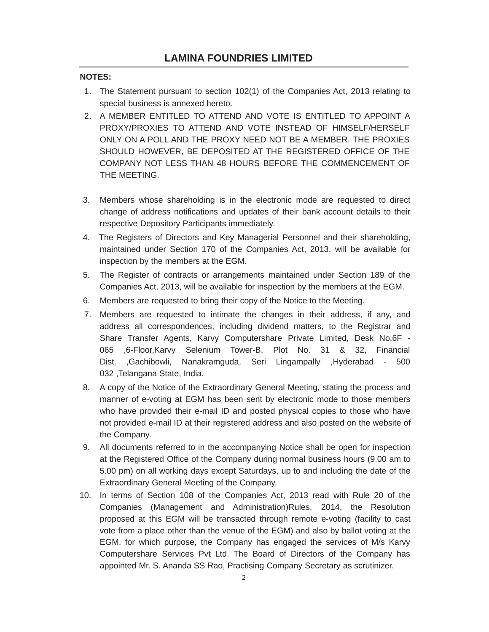## **NOTES:**

- 1. The Statement pursuant to section 102(1) of the Companies Act, 2013 relating to special business is annexed hereto.
- 2. A MEMBER ENTITLED TO ATTEND AND VOTE IS ENTITLED TO APPOINT A PROXY/PROXIES TO ATTEND AND VOTE INSTEAD OF HIMSELF/HERSELF ONLY ON A POLL AND THE PROXY NEED NOT BE A MEMBER. THE PROXIES SHOULD HOWEVER, BE DEPOSITED AT THE REGISTERED OFFICE OF THE COMPANY NOT LESS THAN 48 HOURS BEFORE THE COMMENCEMENT OF THE MEETING.
- 3. Members whose shareholding is in the electronic mode are requested to direct change of address notifications and updates of their bank account details to their respective Depository Participants immediately.
- 4. The Registers of Directors and Key Managerial Personnel and their shareholding, maintained under Section 170 of the Companies Act, 2013, will be available for inspection by the members at the EGM.
- 5. The Register of contracts or arrangements maintained under Section 189 of the Companies Act, 2013, will be available for inspection by the members at the EGM.
- 6. Members are requested to bring their copy of the Notice to the Meeting.
- 7. Members are requested to intimate the changes in their address, if any, and address all correspondences, including dividend matters, to the Registrar and Share Transfer Agents, Karvy Computershare Private Limited, Desk No.6F - 065 ,6-Floor,Karvy Selenium Tower-B, Plot No. 31 & 32, Financial Dist. ,Gachibowli, Nanakramguda, Seri Lingampally ,Hyderabad - 500 032 ,Telangana State, India.
- 8. A copy of the Notice of the Extraordinary General Meeting, stating the process and manner of e-voting at EGM has been sent by electronic mode to those members who have provided their e-mail ID and posted physical copies to those who have not provided e-mail ID at their registered address and also posted on the website of the Company.
- 9. All documents referred to in the accompanying Notice shall be open for inspection at the Registered Office of the Company during normal business hours (9.00 am to 5.00 pm) on all working days except Saturdays, up to and including the date of the Extraordinary General Meeting of the Company.
- 10. In terms of Section 108 of the Companies Act, 2013 read with Rule 20 of the Companies (Management and Administration)Rules, 2014, the Resolution proposed at this EGM will be transacted through remote e-voting (facility to cast vote from a place other than the venue of the EGM) and also by ballot voting at the EGM, for which purpose, the Company has engaged the services of M/s Karvy Computershare Services Pvt Ltd. The Board of Directors of the Company has appointed Mr. S. Ananda SS Rao, Practising Company Secretary as scrutinizer.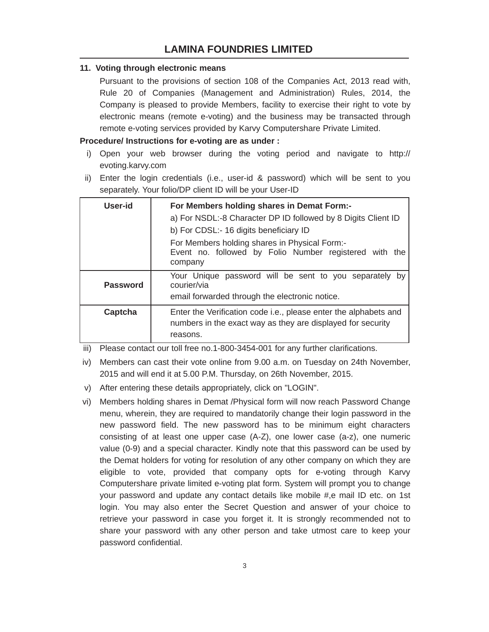# **LAMINA FOUNDRIES LIMITED**

#### **11. Voting through electronic means**

Pursuant to the provisions of section 108 of the Companies Act, 2013 read with, Rule 20 of Companies (Management and Administration) Rules, 2014, the Company is pleased to provide Members, facility to exercise their right to vote by electronic means (remote e-voting) and the business may be transacted through remote e-voting services provided by Karvy Computershare Private Limited.

#### **Procedure/ Instructions for e-voting are as under :**

- i) Open your web browser during the voting period and navigate to http:// evoting.karvy.com
- ii) Enter the login credentials (i.e., user-id & password) which will be sent to you separately. Your folio/DP client ID will be your User-ID

| User-id         | For Members holding shares in Demat Form:-<br>a) For NSDL:-8 Character DP ID followed by 8 Digits Client ID<br>b) For CDSL:- 16 digits beneficiary ID<br>For Members holding shares in Physical Form:-<br>Event no. followed by Folio Number registered with the<br>company |
|-----------------|-----------------------------------------------------------------------------------------------------------------------------------------------------------------------------------------------------------------------------------------------------------------------------|
| <b>Password</b> | Your Unique password will be sent to you separately by<br>courier/via<br>email forwarded through the electronic notice.                                                                                                                                                     |
| Captcha         | Enter the Verification code i.e., please enter the alphabets and<br>numbers in the exact way as they are displayed for security<br>reasons.                                                                                                                                 |

iii) Please contact our toll free no.1-800-3454-001 for any further clarifications.

- iv) Members can cast their vote online from 9.00 a.m. on Tuesday on 24th November, 2015 and will end it at 5.00 P.M. Thursday, on 26th November, 2015.
- v) After entering these details appropriately, click on "LOGIN".
- vi) Members holding shares in Demat /Physical form will now reach Password Change menu, wherein, they are required to mandatorily change their login password in the new password field. The new password has to be minimum eight characters consisting of at least one upper case (A-Z), one lower case (a-z), one numeric value (0-9) and a special character. Kindly note that this password can be used by the Demat holders for voting for resolution of any other company on which they are eligible to vote, provided that company opts for e-voting through Karvy Computershare private limited e-voting plat form. System will prompt you to change your password and update any contact details like mobile #,e mail ID etc. on 1st login. You may also enter the Secret Question and answer of your choice to retrieve your password in case you forget it. It is strongly recommended not to share your password with any other person and take utmost care to keep your password confidential.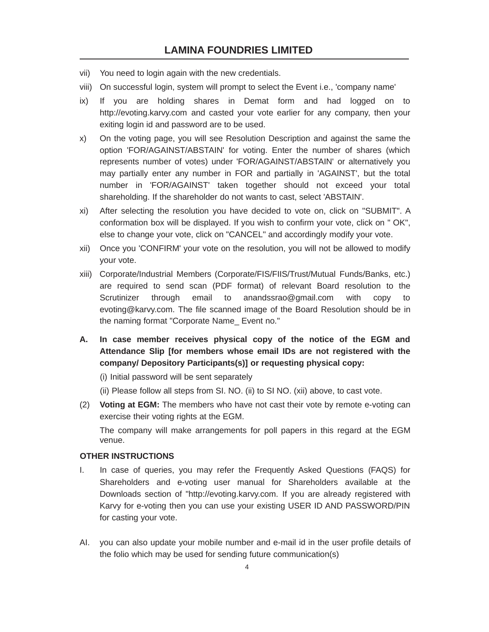- vii) You need to login again with the new credentials.
- viii) On successful login, system will prompt to select the Event i.e., 'company name'
- ix) If you are holding shares in Demat form and had logged on to http://evoting.karvy.com and casted your vote earlier for any company, then your exiting login id and password are to be used.
- x) On the voting page, you will see Resolution Description and against the same the option 'FOR/AGAINST/ABSTAIN' for voting. Enter the number of shares (which represents number of votes) under 'FOR/AGAINST/ABSTAIN' or alternatively you may partially enter any number in FOR and partially in 'AGAINST', but the total number in 'FOR/AGAINST' taken together should not exceed your total shareholding. If the shareholder do not wants to cast, select 'ABSTAIN'.
- xi) After selecting the resolution you have decided to vote on, click on "SUBMIT". A conformation box will be displayed. If you wish to confirm your vote, click on " OK", else to change your vote, click on "CANCEL" and accordingly modify your vote.
- xii) Once you 'CONFIRM' your vote on the resolution, you will not be allowed to modify your vote.
- xiii) Corporate/Industrial Members (Corporate/FIS/FIIS/Trust/Mutual Funds/Banks, etc.) are required to send scan (PDF format) of relevant Board resolution to the Scrutinizer through email to anandssrao@gmail.com with copy to evoting@karvy.com. The file scanned image of the Board Resolution should be in the naming format "Corporate Name\_ Event no."
- **A. In case member receives physical copy of the notice of the EGM and Attendance Slip [for members whose email IDs are not registered with the company/ Depository Participants(s)] or requesting physical copy:**

(i) Initial password will be sent separately

- (ii) Please follow all steps from SI. NO. (ii) to SI NO. (xii) above, to cast vote.
- (2) **Voting at EGM:** The members who have not cast their vote by remote e-voting can exercise their voting rights at the EGM.

The company will make arrangements for poll papers in this regard at the EGM venue.

## **OTHER INSTRUCTIONS**

- I. In case of queries, you may refer the Frequently Asked Questions (FAQS) for Shareholders and e-voting user manual for Shareholders available at the Downloads section of "http://evoting.karvy.com. If you are already registered with Karvy for e-voting then you can use your existing USER ID AND PASSWORD/PIN for casting your vote.
- AI. you can also update your mobile number and e-mail id in the user profile details of the folio which may be used for sending future communication(s)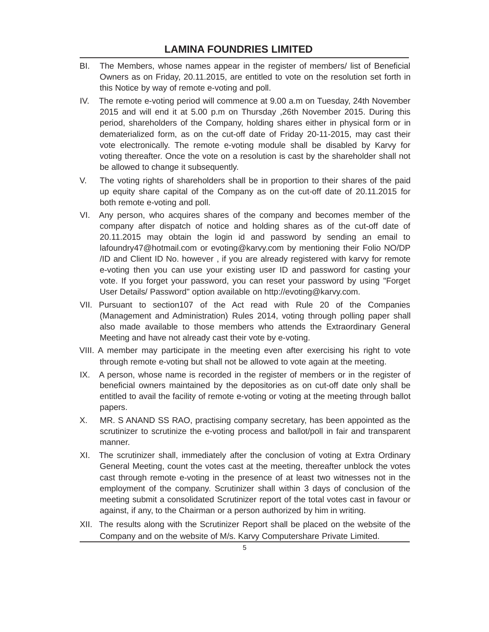- BI. The Members, whose names appear in the register of members/ list of Beneficial Owners as on Friday, 20.11.2015, are entitled to vote on the resolution set forth in this Notice by way of remote e-voting and poll.
- IV. The remote e-voting period will commence at 9.00 a.m on Tuesday, 24th November 2015 and will end it at 5.00 p.m on Thursday ,26th November 2015. During this period, shareholders of the Company, holding shares either in physical form or in dematerialized form, as on the cut-off date of Friday 20-11-2015, may cast their vote electronically. The remote e-voting module shall be disabled by Karvy for voting thereafter. Once the vote on a resolution is cast by the shareholder shall not be allowed to change it subsequently.
- V. The voting rights of shareholders shall be in proportion to their shares of the paid up equity share capital of the Company as on the cut-off date of 20.11.2015 for both remote e-voting and poll.
- VI. Any person, who acquires shares of the company and becomes member of the company after dispatch of notice and holding shares as of the cut-off date of 20.11.2015 may obtain the login id and password by sending an email to lafoundry47@hotmail.com or evoting@karvy.com by mentioning their Folio NO/DP /ID and Client ID No. however , if you are already registered with karvy for remote e-voting then you can use your existing user ID and password for casting your vote. If you forget your password, you can reset your password by using "Forget User Details/ Password" option available on http://evoting@karvy.com.
- VII. Pursuant to section107 of the Act read with Rule 20 of the Companies (Management and Administration) Rules 2014, voting through polling paper shall also made available to those members who attends the Extraordinary General Meeting and have not already cast their vote by e-voting.
- VIII. A member may participate in the meeting even after exercising his right to vote through remote e-voting but shall not be allowed to vote again at the meeting.
- IX. A person, whose name is recorded in the register of members or in the register of beneficial owners maintained by the depositories as on cut-off date only shall be entitled to avail the facility of remote e-voting or voting at the meeting through ballot papers.
- X. MR. S ANAND SS RAO, practising company secretary, has been appointed as the scrutinizer to scrutinize the e-voting process and ballot/poll in fair and transparent manner.
- XI. The scrutinizer shall, immediately after the conclusion of voting at Extra Ordinary General Meeting, count the votes cast at the meeting, thereafter unblock the votes cast through remote e-voting in the presence of at least two witnesses not in the employment of the company. Scrutinizer shall within 3 days of conclusion of the meeting submit a consolidated Scrutinizer report of the total votes cast in favour or against, if any, to the Chairman or a person authorized by him in writing.
- XII. The results along with the Scrutinizer Report shall be placed on the website of the Company and on the website of M/s. Karvy Computershare Private Limited.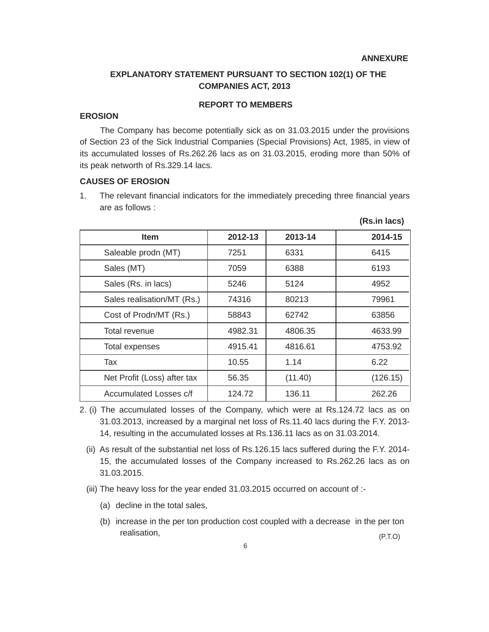#### **ANNEXURE**

**(Rs.in lacs)**

# **EXPLANATORY STATEMENT PURSUANT TO SECTION 102(1) OF THE COMPANIES ACT, 2013**

## **REPORT TO MEMBERS**

#### **EROSION**

The Company has become potentially sick as on 31.03.2015 under the provisions of Section 23 of the Sick Industrial Companies (Special Provisions) Act, 1985, in view of its accumulated losses of Rs.262.26 lacs as on 31.03.2015, eroding more than 50% of its peak networth of Rs.329.14 lacs.

## **CAUSES OF EROSION**

1. The relevant financial indicators for the immediately preceding three financial years are as follows :

| <b>Item</b>                 | 2012-13 | 2013-14 | 2014-15  |
|-----------------------------|---------|---------|----------|
| Saleable prodn (MT)         | 7251    | 6331    | 6415     |
| Sales (MT)                  | 7059    | 6388    | 6193     |
| Sales (Rs. in lacs)         | 5246    | 5124    | 4952     |
| Sales realisation/MT (Rs.)  | 74316   | 80213   | 79961    |
| Cost of Prodn/MT (Rs.)      | 58843   | 62742   | 63856    |
| Total revenue               | 4982.31 | 4806.35 | 4633.99  |
| Total expenses              | 4915.41 | 4816.61 | 4753.92  |
| Tax                         | 10.55   | 1.14    | 6.22     |
| Net Profit (Loss) after tax | 56.35   | (11.40) | (126.15) |
| Accumulated Losses c/f      | 124.72  | 136.11  | 262.26   |

2. (i) The accumulated losses of the Company, which were at Rs.124.72 lacs as on 31.03.2013, increased by a marginal net loss of Rs.11.40 lacs during the F.Y. 2013- 14, resulting in the accumulated losses at Rs.136.11 lacs as on 31.03.2014.

- (ii) As result of the substantial net loss of Rs.126.15 lacs suffered during the F.Y. 2014- 15, the accumulated losses of the Company increased to Rs.262.26 lacs as on 31.03.2015.
- (iii) The heavy loss for the year ended 31.03.2015 occurred on account of :-
	- (a) decline in the total sales,
	- (b) increase in the per ton production cost coupled with a decrease in the per ton realisation, (P.T.O)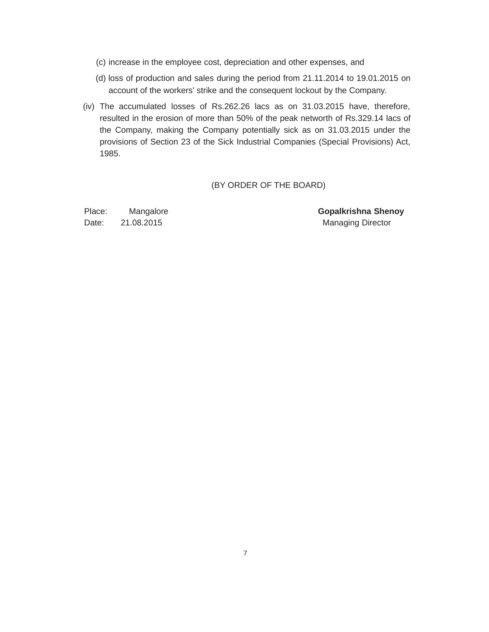- (c) increase in the employee cost, depreciation and other expenses, and
- (d) loss of production and sales during the period from 21.11.2014 to 19.01.2015 on account of the workers' strike and the consequent lockout by the Company.
- (iv) The accumulated losses of Rs.262.26 lacs as on 31.03.2015 have, therefore, resulted in the erosion of more than 50% of the peak networth of Rs.329.14 lacs of the Company, making the Company potentially sick as on 31.03.2015 under the provisions of Section 23 of the Sick Industrial Companies (Special Provisions) Act, 1985.

#### (BY ORDER OF THE BOARD)

Date: 21.08.2015 Managing Director

Place: Mangalore **Gopalkrishna Shenoy**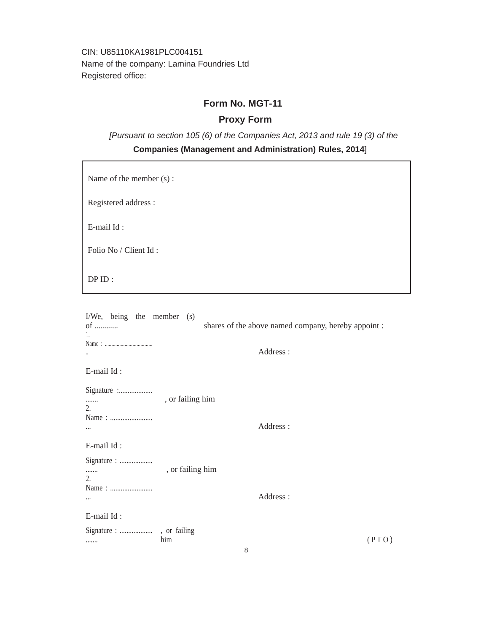CIN: U85110KA1981PLC004151 Name of the company: Lamina Foundries Ltd Registered office:

# **Form No. MGT-11**

# **Proxy Form**

*[Pursuant to section 105 (6) of the Companies Act, 2013 and rule 19 (3) of the*

## **Companies (Management and Administration) Rules, 2014**]

Name of the member (s) :

Registered address :

E-mail Id :

Folio No / Client Id :

DP ID :

| I/We, being the member $(s)$<br>$of$<br>1. |                  | shares of the above named company, hereby appoint : |       |
|--------------------------------------------|------------------|-----------------------------------------------------|-------|
|                                            |                  | Address:                                            |       |
| E-mail Id:                                 |                  |                                                     |       |
| Signature :<br><br>2.<br>$\cdots$          | , or failing him | Address:                                            |       |
| E-mail Id:                                 |                  |                                                     |       |
| Signature :<br>.<br>2.                     | , or failing him |                                                     |       |
|                                            |                  | Address:                                            |       |
| E-mail Id:                                 |                  |                                                     |       |
|                                            | him              |                                                     | (PTO) |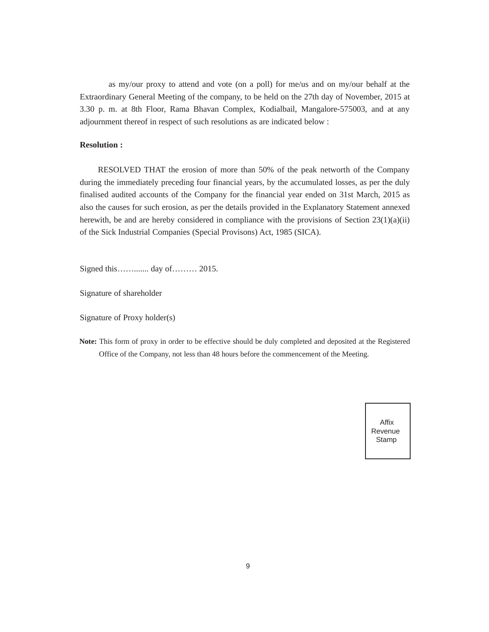as my/our proxy to attend and vote (on a poll) for me/us and on my/our behalf at the Extraordinary General Meeting of the company, to be held on the 27th day of November, 2015 at 3.30 p. m. at 8th Floor, Rama Bhavan Complex, Kodialbail, Mangalore-575003, and at any adjournment thereof in respect of such resolutions as are indicated below :

## **Resolution :**

RESOLVED THAT the erosion of more than 50% of the peak networth of the Company during the immediately preceding four financial years, by the accumulated losses, as per the duly finalised audited accounts of the Company for the financial year ended on 31st March, 2015 as also the causes for such erosion, as per the details provided in the Explanatory Statement annexed herewith, be and are hereby considered in compliance with the provisions of Section  $23(1)(a)(ii)$ of the Sick Industrial Companies (Special Provisons) Act, 1985 (SICA).

Signed this……....... day of……… 2015.

Signature of shareholder

Signature of Proxy holder(s)

**Note:** This form of proxy in order to be effective should be duly completed and deposited at the Registered Office of the Company, not less than 48 hours before the commencement of the Meeting.

> Affix Revenue Stamp